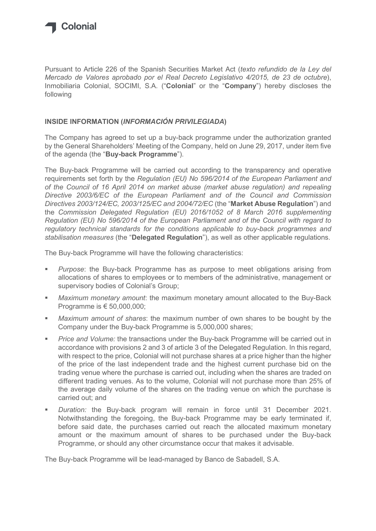

Pursuant to Article 226 of the Spanish Securities Market Act (texto refundido de la Ley del Mercado de Valores aprobado por el Real Decreto Legislativo 4/2015, de 23 de octubre), Inmobiliaria Colonial, SOCIMI, S.A. ("Colonial" or the "Company") hereby discloses the following

## INSIDE INFORMATION (INFORMACIÓN PRIVILEGIADA)

The Company has agreed to set up a buy-back programme under the authorization granted by the General Shareholders' Meeting of the Company, held on June 29, 2017, under item five of the agenda (the "Buy-back Programme").

The Buy-back Programme will be carried out according to the transparency and operative requirements set forth by the Regulation (EU) No 596/2014 of the European Parliament and of the Council of 16 April 2014 on market abuse (market abuse regulation) and repealing Directive 2003/6/EC of the European Parliament and of the Council and Commission Directives 2003/124/EC, 2003/125/EC and 2004/72/EC (the "Market Abuse Regulation") and the Commission Delegated Regulation (EU) 2016/1052 of 8 March 2016 supplementing Regulation (EU) No 596/2014 of the European Parliament and of the Council with regard to regulatory technical standards for the conditions applicable to buy-back programmes and stabilisation measures (the "Delegated Regulation"), as well as other applicable regulations.

The Buy-back Programme will have the following characteristics:

- Purpose: the Buy-back Programme has as purpose to meet obligations arising from allocations of shares to employees or to members of the administrative, management or supervisory bodies of Colonial's Group;
- **Maximum monetary amount:** the maximum monetary amount allocated to the Buy-Back Programme is € 50,000,000;
- Maximum amount of shares: the maximum number of own shares to be bought by the Company under the Buy-back Programme is 5,000,000 shares;
- **Price and Volume: the transactions under the Buy-back Programme will be carried out in** accordance with provisions 2 and 3 of article 3 of the Delegated Regulation. In this regard, with respect to the price, Colonial will not purchase shares at a price higher than the higher of the price of the last independent trade and the highest current purchase bid on the trading venue where the purchase is carried out, including when the shares are traded on different trading venues. As to the volume, Colonial will not purchase more than 25% of the average daily volume of the shares on the trading venue on which the purchase is carried out; and
- Duration: the Buy-back program will remain in force until 31 December 2021. Notwithstanding the foregoing, the Buy-back Programme may be early terminated if, before said date, the purchases carried out reach the allocated maximum monetary amount or the maximum amount of shares to be purchased under the Buy-back Programme, or should any other circumstance occur that makes it advisable.

The Buy-back Programme will be lead-managed by Banco de Sabadell, S.A.